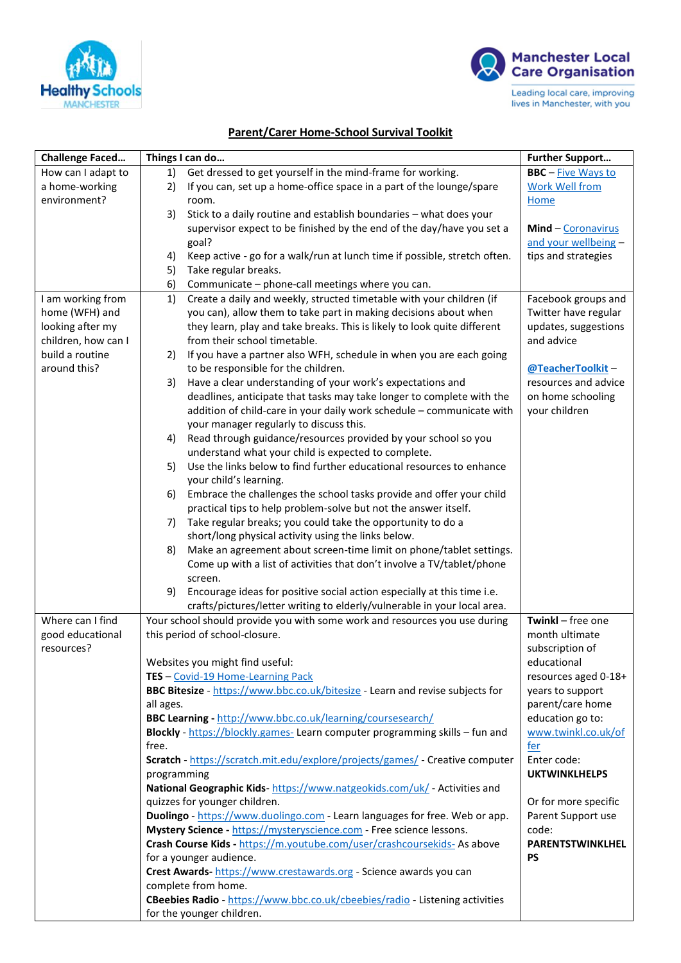



## **Parent/Carer Home-School Survival Toolkit**

| <b>Challenge Faced</b> | Things I can do                                                                                            | <b>Further Support</b>    |
|------------------------|------------------------------------------------------------------------------------------------------------|---------------------------|
| How can I adapt to     | Get dressed to get yourself in the mind-frame for working.<br>1)                                           | <b>BBC</b> - Five Ways to |
| a home-working         | If you can, set up a home-office space in a part of the lounge/spare<br>2)                                 | <b>Work Well from</b>     |
| environment?           | room.                                                                                                      | <b>Home</b>               |
|                        | Stick to a daily routine and establish boundaries - what does your<br>3)                                   |                           |
|                        | supervisor expect to be finished by the end of the day/have you set a                                      | Mind - Coronavirus        |
|                        | goal?                                                                                                      | and your wellbeing -      |
|                        | Keep active - go for a walk/run at lunch time if possible, stretch often.<br>4)                            | tips and strategies       |
|                        | 5)<br>Take regular breaks.                                                                                 |                           |
|                        | 6)<br>Communicate - phone-call meetings where you can.                                                     |                           |
| I am working from      | Create a daily and weekly, structed timetable with your children (if<br>1)                                 | Facebook groups and       |
| home (WFH) and         | you can), allow them to take part in making decisions about when                                           | Twitter have regular      |
| looking after my       | they learn, play and take breaks. This is likely to look quite different                                   | updates, suggestions      |
| children, how can I    | from their school timetable.                                                                               | and advice                |
| build a routine        | If you have a partner also WFH, schedule in when you are each going<br>2)                                  |                           |
| around this?           | to be responsible for the children.                                                                        | @TeacherToolkit-          |
|                        | Have a clear understanding of your work's expectations and<br>3)                                           | resources and advice      |
|                        | deadlines, anticipate that tasks may take longer to complete with the                                      | on home schooling         |
|                        | addition of child-care in your daily work schedule - communicate with                                      | your children             |
|                        | your manager regularly to discuss this.<br>Read through guidance/resources provided by your school so you  |                           |
|                        | 4)<br>understand what your child is expected to complete.                                                  |                           |
|                        | Use the links below to find further educational resources to enhance<br>5)                                 |                           |
|                        | your child's learning.                                                                                     |                           |
|                        | Embrace the challenges the school tasks provide and offer your child<br>6)                                 |                           |
|                        | practical tips to help problem-solve but not the answer itself.                                            |                           |
|                        | Take regular breaks; you could take the opportunity to do a<br>7)                                          |                           |
|                        | short/long physical activity using the links below.                                                        |                           |
|                        | Make an agreement about screen-time limit on phone/tablet settings.<br>8)                                  |                           |
|                        | Come up with a list of activities that don't involve a TV/tablet/phone                                     |                           |
|                        | screen.                                                                                                    |                           |
|                        | 9)<br>Encourage ideas for positive social action especially at this time i.e.                              |                           |
|                        | crafts/pictures/letter writing to elderly/vulnerable in your local area.                                   |                           |
| Where can I find       | Your school should provide you with some work and resources you use during                                 | Twinkl - free one         |
| good educational       | this period of school-closure.                                                                             | month ultimate            |
| resources?             |                                                                                                            | subscription of           |
|                        | Websites you might find useful:                                                                            | educational               |
|                        | TES - Covid-19 Home-Learning Pack                                                                          | resources aged 0-18+      |
|                        | BBC Bitesize - https://www.bbc.co.uk/bitesize - Learn and revise subjects for                              | years to support          |
|                        | all ages.                                                                                                  | parent/care home          |
|                        | BBC Learning - http://www.bbc.co.uk/learning/coursesearch/                                                 | education go to:          |
|                        | Blockly - https://blockly.games- Learn computer programming skills - fun and                               | www.twinkl.co.uk/of       |
|                        | free.                                                                                                      | <u>fer</u>                |
|                        | Scratch - https://scratch.mit.edu/explore/projects/games/ - Creative computer                              | Enter code:               |
|                        | programming                                                                                                | <b>UKTWINKLHELPS</b>      |
|                        | National Geographic Kids- https://www.natgeokids.com/uk/ - Activities and<br>quizzes for younger children. | Or for more specific      |
|                        | Duolingo - https://www.duolingo.com - Learn languages for free. Web or app.                                | Parent Support use        |
|                        | Mystery Science - https://mysteryscience.com - Free science lessons.                                       | code:                     |
|                        | Crash Course Kids - https://m.youtube.com/user/crashcoursekids- As above                                   | PARENTSTWINKLHEL          |
|                        | for a younger audience.                                                                                    | <b>PS</b>                 |
|                        | Crest Awards- https://www.crestawards.org - Science awards you can                                         |                           |
|                        | complete from home.                                                                                        |                           |
|                        | CBeebies Radio - https://www.bbc.co.uk/cbeebies/radio - Listening activities                               |                           |
|                        | for the younger children.                                                                                  |                           |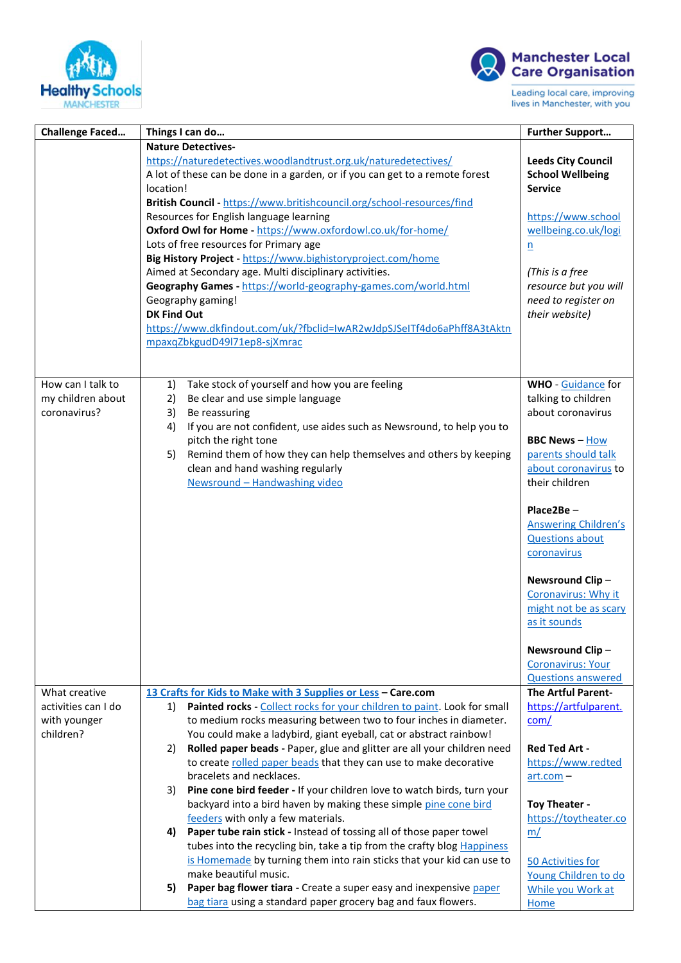



Leading local care, improving lives in Manchester, with you

| <b>Challenge Faced</b>                                            | Things I can do                                                                                                                                                                                                                                                                                                                                                                                                                                                                                                                                                                                                                                                                                                                                                                                                                                                                                                                                                                                            | <b>Further Support</b>                                                                                                                                                                                                                                                                                                                                                                                            |
|-------------------------------------------------------------------|------------------------------------------------------------------------------------------------------------------------------------------------------------------------------------------------------------------------------------------------------------------------------------------------------------------------------------------------------------------------------------------------------------------------------------------------------------------------------------------------------------------------------------------------------------------------------------------------------------------------------------------------------------------------------------------------------------------------------------------------------------------------------------------------------------------------------------------------------------------------------------------------------------------------------------------------------------------------------------------------------------|-------------------------------------------------------------------------------------------------------------------------------------------------------------------------------------------------------------------------------------------------------------------------------------------------------------------------------------------------------------------------------------------------------------------|
|                                                                   | <b>Nature Detectives-</b><br>https://naturedetectives.woodlandtrust.org.uk/naturedetectives/<br>A lot of these can be done in a garden, or if you can get to a remote forest<br>location!<br>British Council - https://www.britishcouncil.org/school-resources/find<br>Resources for English language learning<br>Oxford Owl for Home - https://www.oxfordowl.co.uk/for-home/<br>Lots of free resources for Primary age<br>Big History Project - https://www.bighistoryproject.com/home<br>Aimed at Secondary age. Multi disciplinary activities.<br>Geography Games - https://world-geography-games.com/world.html<br>Geography gaming!<br><b>DK Find Out</b><br>https://www.dkfindout.com/uk/?fbclid=IwAR2wJdpSJSeITf4do6aPhff8A3tAktn<br>mpaxqZbkgudD49l71ep8-sjXmrac                                                                                                                                                                                                                                   | <b>Leeds City Council</b><br><b>School Wellbeing</b><br><b>Service</b><br>https://www.school<br>wellbeing.co.uk/logi<br>$\underline{n}$<br>(This is a free<br>resource but you will<br>need to register on<br>their website)                                                                                                                                                                                      |
| How can I talk to<br>my children about<br>coronavirus?            | Take stock of yourself and how you are feeling<br>1)<br>2)<br>Be clear and use simple language<br>3)<br>Be reassuring<br>If you are not confident, use aides such as Newsround, to help you to<br>4)<br>pitch the right tone<br>Remind them of how they can help themselves and others by keeping<br>5)<br>clean and hand washing regularly<br>Newsround - Handwashing video                                                                                                                                                                                                                                                                                                                                                                                                                                                                                                                                                                                                                               | <b>WHO</b> - Guidance for<br>talking to children<br>about coronavirus<br><b>BBC News-How</b><br>parents should talk<br>about coronavirus to<br>their children<br>Place2Be-<br><b>Answering Children's</b><br><b>Questions about</b><br>coronavirus<br>Newsround Clip-<br>Coronavirus: Why it<br>might not be as scary<br>as it sounds<br>Newsround Clip-<br><b>Coronavirus: Your</b><br><b>Questions answered</b> |
| What creative<br>activities can I do<br>with younger<br>children? | 13 Crafts for Kids to Make with 3 Supplies or Less - Care.com<br>Painted rocks - Collect rocks for your children to paint. Look for small<br>1)<br>to medium rocks measuring between two to four inches in diameter.<br>You could make a ladybird, giant eyeball, cat or abstract rainbow!<br>Rolled paper beads - Paper, glue and glitter are all your children need<br>2)<br>to create rolled paper beads that they can use to make decorative<br>bracelets and necklaces.<br>Pine cone bird feeder - If your children love to watch birds, turn your<br>3)<br>backyard into a bird haven by making these simple pine cone bird<br>feeders with only a few materials.<br>4) Paper tube rain stick - Instead of tossing all of those paper towel<br>tubes into the recycling bin, take a tip from the crafty blog Happiness<br>is Homemade by turning them into rain sticks that your kid can use to<br>make beautiful music.<br>Paper bag flower tiara - Create a super easy and inexpensive paper<br>5) | <b>The Artful Parent-</b><br>https://artfulparent.<br>com/<br><b>Red Ted Art -</b><br>https://www.redted<br>$art.com -$<br>Toy Theater -<br>https://toytheater.co<br>m/<br>50 Activities for<br>Young Children to do<br>While you Work at                                                                                                                                                                         |
|                                                                   | bag tiara using a standard paper grocery bag and faux flowers.                                                                                                                                                                                                                                                                                                                                                                                                                                                                                                                                                                                                                                                                                                                                                                                                                                                                                                                                             | <b>Home</b>                                                                                                                                                                                                                                                                                                                                                                                                       |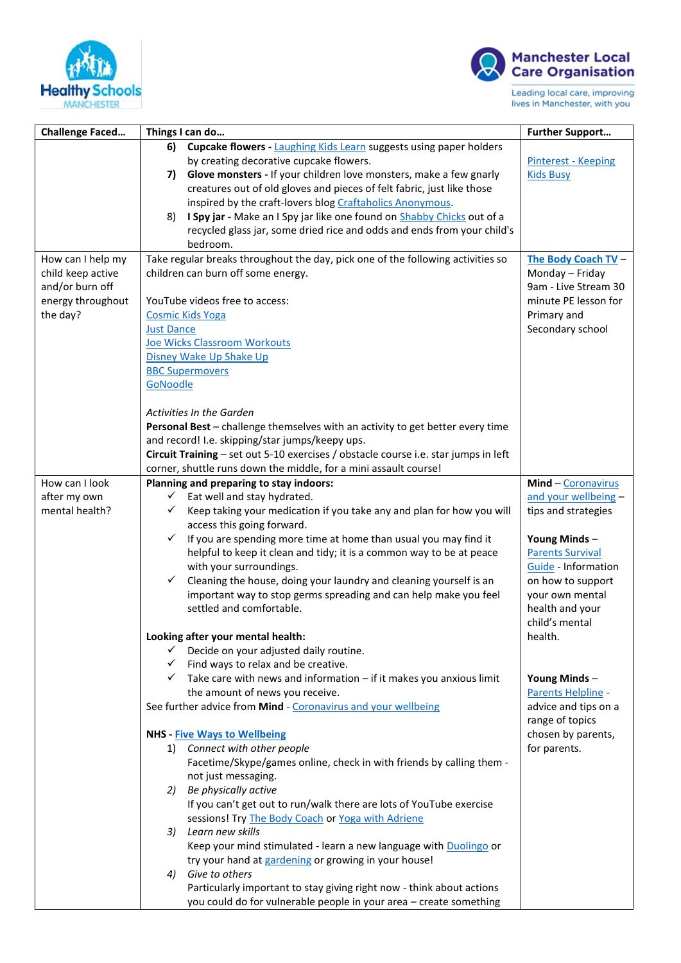



Leading local care, improving<br>lives in Manchester, with you

| <b>Challenge Faced</b>                 | Things I can do                                                                                                                                         | <b>Further Support</b>                 |
|----------------------------------------|---------------------------------------------------------------------------------------------------------------------------------------------------------|----------------------------------------|
|                                        | 6)<br><b>Cupcake flowers - Laughing Kids Learn suggests using paper holders</b>                                                                         |                                        |
|                                        | by creating decorative cupcake flowers.                                                                                                                 | Pinterest - Keeping                    |
|                                        | Glove monsters - If your children love monsters, make a few gnarly<br>7)                                                                                | <b>Kids Busy</b>                       |
|                                        | creatures out of old gloves and pieces of felt fabric, just like those                                                                                  |                                        |
|                                        | inspired by the craft-lovers blog Craftaholics Anonymous.                                                                                               |                                        |
|                                        | I Spy jar - Make an I Spy jar like one found on Shabby Chicks out of a<br>8)                                                                            |                                        |
|                                        | recycled glass jar, some dried rice and odds and ends from your child's                                                                                 |                                        |
|                                        | bedroom.                                                                                                                                                |                                        |
| How can I help my<br>child keep active | Take regular breaks throughout the day, pick one of the following activities so<br>children can burn off some energy.                                   | The Body Coach TV -<br>Monday - Friday |
| and/or burn off                        |                                                                                                                                                         | 9am - Live Stream 30                   |
| energy throughout                      | YouTube videos free to access:                                                                                                                          | minute PE lesson for                   |
| the day?                               | <b>Cosmic Kids Yoga</b>                                                                                                                                 | Primary and                            |
|                                        | <b>Just Dance</b>                                                                                                                                       | Secondary school                       |
|                                        | Joe Wicks Classroom Workouts                                                                                                                            |                                        |
|                                        | Disney Wake Up Shake Up                                                                                                                                 |                                        |
|                                        | <b>BBC Supermovers</b>                                                                                                                                  |                                        |
|                                        | GoNoodle                                                                                                                                                |                                        |
|                                        |                                                                                                                                                         |                                        |
|                                        | <b>Activities In the Garden</b>                                                                                                                         |                                        |
|                                        | Personal Best - challenge themselves with an activity to get better every time                                                                          |                                        |
|                                        | and record! I.e. skipping/star jumps/keepy ups.                                                                                                         |                                        |
|                                        | Circuit Training - set out 5-10 exercises / obstacle course i.e. star jumps in left<br>corner, shuttle runs down the middle, for a mini assault course! |                                        |
| How can I look                         | Planning and preparing to stay indoors:                                                                                                                 | Mind - Coronavirus                     |
| after my own                           | Eat well and stay hydrated.<br>✓                                                                                                                        | and your wellbeing -                   |
| mental health?                         | Keep taking your medication if you take any and plan for how you will<br>✓                                                                              | tips and strategies                    |
|                                        | access this going forward.                                                                                                                              |                                        |
|                                        | If you are spending more time at home than usual you may find it<br>✓                                                                                   | Young Minds-                           |
|                                        | helpful to keep it clean and tidy; it is a common way to be at peace                                                                                    | <b>Parents Survival</b>                |
|                                        | with your surroundings.                                                                                                                                 | Guide - Information                    |
|                                        | ✓<br>Cleaning the house, doing your laundry and cleaning yourself is an                                                                                 | on how to support                      |
|                                        | important way to stop germs spreading and can help make you feel                                                                                        | your own mental                        |
|                                        | settled and comfortable.                                                                                                                                | health and your                        |
|                                        |                                                                                                                                                         | child's mental                         |
|                                        | Looking after your mental health:<br>✓                                                                                                                  | health.                                |
|                                        | Decide on your adjusted daily routine.                                                                                                                  |                                        |
|                                        | $\checkmark$ Find ways to relax and be creative.<br>$\checkmark$ Take care with news and information – if it makes you anxious limit                    | Young Minds-                           |
|                                        | the amount of news you receive.                                                                                                                         | Parents Helpline -                     |
|                                        | See further advice from Mind - Coronavirus and your wellbeing                                                                                           | advice and tips on a                   |
|                                        |                                                                                                                                                         | range of topics                        |
|                                        | <b>NHS - Five Ways to Wellbeing</b>                                                                                                                     | chosen by parents,                     |
|                                        | Connect with other people<br>1)                                                                                                                         | for parents.                           |
|                                        | Facetime/Skype/games online, check in with friends by calling them -                                                                                    |                                        |
|                                        | not just messaging.                                                                                                                                     |                                        |
|                                        | 2) Be physically active                                                                                                                                 |                                        |
|                                        | If you can't get out to run/walk there are lots of YouTube exercise                                                                                     |                                        |
|                                        | sessions! Try The Body Coach or Yoga with Adriene                                                                                                       |                                        |
|                                        | Learn new skills<br>3)                                                                                                                                  |                                        |
|                                        | Keep your mind stimulated - learn a new language with Duolingo or                                                                                       |                                        |
|                                        | try your hand at gardening or growing in your house!                                                                                                    |                                        |
|                                        | Give to others<br>4)<br>Particularly important to stay giving right now - think about actions                                                           |                                        |
|                                        | you could do for vulnerable people in your area - create something                                                                                      |                                        |
|                                        |                                                                                                                                                         |                                        |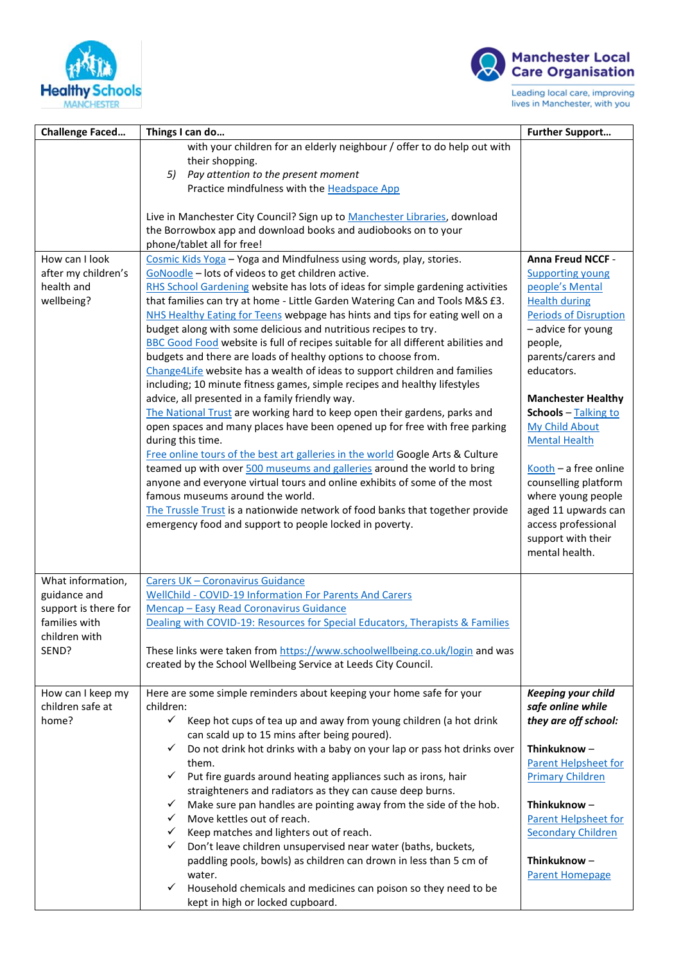



Leading local care, improving<br>lives in Manchester, with you

| <b>Challenge Faced</b>                                            | Things I can do                                                                                                                                                                                                                                                                                                                                                                                                                                                                                                                                                                                                                                                                                                                                                                                                                                                                                                                                                                                                                                                                                                                                                                                                                                                                                                                                                                                                                                            | <b>Further Support</b>                                                                                                                                                                                                                                                                                                                                                                                                                                            |
|-------------------------------------------------------------------|------------------------------------------------------------------------------------------------------------------------------------------------------------------------------------------------------------------------------------------------------------------------------------------------------------------------------------------------------------------------------------------------------------------------------------------------------------------------------------------------------------------------------------------------------------------------------------------------------------------------------------------------------------------------------------------------------------------------------------------------------------------------------------------------------------------------------------------------------------------------------------------------------------------------------------------------------------------------------------------------------------------------------------------------------------------------------------------------------------------------------------------------------------------------------------------------------------------------------------------------------------------------------------------------------------------------------------------------------------------------------------------------------------------------------------------------------------|-------------------------------------------------------------------------------------------------------------------------------------------------------------------------------------------------------------------------------------------------------------------------------------------------------------------------------------------------------------------------------------------------------------------------------------------------------------------|
|                                                                   | with your children for an elderly neighbour / offer to do help out with<br>their shopping.<br>5)<br>Pay attention to the present moment<br>Practice mindfulness with the Headspace App<br>Live in Manchester City Council? Sign up to Manchester Libraries, download                                                                                                                                                                                                                                                                                                                                                                                                                                                                                                                                                                                                                                                                                                                                                                                                                                                                                                                                                                                                                                                                                                                                                                                       |                                                                                                                                                                                                                                                                                                                                                                                                                                                                   |
|                                                                   | the Borrowbox app and download books and audiobooks on to your                                                                                                                                                                                                                                                                                                                                                                                                                                                                                                                                                                                                                                                                                                                                                                                                                                                                                                                                                                                                                                                                                                                                                                                                                                                                                                                                                                                             |                                                                                                                                                                                                                                                                                                                                                                                                                                                                   |
| How can I look<br>after my children's<br>health and<br>wellbeing? | phone/tablet all for free!<br>Cosmic Kids Yoga - Yoga and Mindfulness using words, play, stories.<br>GoNoodle - lots of videos to get children active.<br>RHS School Gardening website has lots of ideas for simple gardening activities<br>that families can try at home - Little Garden Watering Can and Tools M&S £3.<br>NHS Healthy Eating for Teens webpage has hints and tips for eating well on a<br>budget along with some delicious and nutritious recipes to try.<br>BBC Good Food website is full of recipes suitable for all different abilities and<br>budgets and there are loads of healthy options to choose from.<br>Change4Life website has a wealth of ideas to support children and families<br>including; 10 minute fitness games, simple recipes and healthy lifestyles<br>advice, all presented in a family friendly way.<br>The National Trust are working hard to keep open their gardens, parks and<br>open spaces and many places have been opened up for free with free parking<br>during this time.<br>Free online tours of the best art galleries in the world Google Arts & Culture<br>teamed up with over 500 museums and galleries around the world to bring<br>anyone and everyone virtual tours and online exhibits of some of the most<br>famous museums around the world.<br>The Trussle Trust is a nationwide network of food banks that together provide<br>emergency food and support to people locked in poverty. | Anna Freud NCCF -<br><b>Supporting young</b><br>people's Mental<br><b>Health during</b><br><b>Periods of Disruption</b><br>- advice for young<br>people,<br>parents/carers and<br>educators.<br><b>Manchester Healthy</b><br>Schools - Talking to<br><b>My Child About</b><br><b>Mental Health</b><br>$Kooth - a free online$<br>counselling platform<br>where young people<br>aged 11 upwards can<br>access professional<br>support with their<br>mental health. |
| What information,                                                 | Carers UK - Coronavirus Guidance                                                                                                                                                                                                                                                                                                                                                                                                                                                                                                                                                                                                                                                                                                                                                                                                                                                                                                                                                                                                                                                                                                                                                                                                                                                                                                                                                                                                                           |                                                                                                                                                                                                                                                                                                                                                                                                                                                                   |
| guidance and                                                      | <b>WellChild - COVID-19 Information For Parents And Carers</b>                                                                                                                                                                                                                                                                                                                                                                                                                                                                                                                                                                                                                                                                                                                                                                                                                                                                                                                                                                                                                                                                                                                                                                                                                                                                                                                                                                                             |                                                                                                                                                                                                                                                                                                                                                                                                                                                                   |
| support is there for<br>families with                             | Mencap - Easy Read Coronavirus Guidance<br>Dealing with COVID-19: Resources for Special Educators, Therapists & Families                                                                                                                                                                                                                                                                                                                                                                                                                                                                                                                                                                                                                                                                                                                                                                                                                                                                                                                                                                                                                                                                                                                                                                                                                                                                                                                                   |                                                                                                                                                                                                                                                                                                                                                                                                                                                                   |
| children with                                                     |                                                                                                                                                                                                                                                                                                                                                                                                                                                                                                                                                                                                                                                                                                                                                                                                                                                                                                                                                                                                                                                                                                                                                                                                                                                                                                                                                                                                                                                            |                                                                                                                                                                                                                                                                                                                                                                                                                                                                   |
| SEND?                                                             | These links were taken from https://www.schoolwellbeing.co.uk/login and was<br>created by the School Wellbeing Service at Leeds City Council.                                                                                                                                                                                                                                                                                                                                                                                                                                                                                                                                                                                                                                                                                                                                                                                                                                                                                                                                                                                                                                                                                                                                                                                                                                                                                                              |                                                                                                                                                                                                                                                                                                                                                                                                                                                                   |
| How can I keep my<br>children safe at<br>home?                    | Here are some simple reminders about keeping your home safe for your<br>children:<br>$\checkmark$<br>Keep hot cups of tea up and away from young children (a hot drink<br>can scald up to 15 mins after being poured).                                                                                                                                                                                                                                                                                                                                                                                                                                                                                                                                                                                                                                                                                                                                                                                                                                                                                                                                                                                                                                                                                                                                                                                                                                     | <b>Keeping your child</b><br>safe online while<br>they are off school:                                                                                                                                                                                                                                                                                                                                                                                            |
|                                                                   | Do not drink hot drinks with a baby on your lap or pass hot drinks over<br>$\checkmark$                                                                                                                                                                                                                                                                                                                                                                                                                                                                                                                                                                                                                                                                                                                                                                                                                                                                                                                                                                                                                                                                                                                                                                                                                                                                                                                                                                    | Thinkuknow-                                                                                                                                                                                                                                                                                                                                                                                                                                                       |
|                                                                   | them.<br>Put fire guards around heating appliances such as irons, hair<br>$\checkmark$                                                                                                                                                                                                                                                                                                                                                                                                                                                                                                                                                                                                                                                                                                                                                                                                                                                                                                                                                                                                                                                                                                                                                                                                                                                                                                                                                                     | <b>Parent Helpsheet for</b><br><b>Primary Children</b>                                                                                                                                                                                                                                                                                                                                                                                                            |
|                                                                   | straighteners and radiators as they can cause deep burns.                                                                                                                                                                                                                                                                                                                                                                                                                                                                                                                                                                                                                                                                                                                                                                                                                                                                                                                                                                                                                                                                                                                                                                                                                                                                                                                                                                                                  |                                                                                                                                                                                                                                                                                                                                                                                                                                                                   |
|                                                                   | Make sure pan handles are pointing away from the side of the hob.<br>$\checkmark$                                                                                                                                                                                                                                                                                                                                                                                                                                                                                                                                                                                                                                                                                                                                                                                                                                                                                                                                                                                                                                                                                                                                                                                                                                                                                                                                                                          | Thinkuknow-                                                                                                                                                                                                                                                                                                                                                                                                                                                       |
|                                                                   | Move kettles out of reach.<br>$\checkmark$                                                                                                                                                                                                                                                                                                                                                                                                                                                                                                                                                                                                                                                                                                                                                                                                                                                                                                                                                                                                                                                                                                                                                                                                                                                                                                                                                                                                                 | <b>Parent Helpsheet for</b>                                                                                                                                                                                                                                                                                                                                                                                                                                       |
|                                                                   | Keep matches and lighters out of reach.<br>$\checkmark$<br>Don't leave children unsupervised near water (baths, buckets,<br>✓                                                                                                                                                                                                                                                                                                                                                                                                                                                                                                                                                                                                                                                                                                                                                                                                                                                                                                                                                                                                                                                                                                                                                                                                                                                                                                                              | <b>Secondary Children</b>                                                                                                                                                                                                                                                                                                                                                                                                                                         |
|                                                                   | paddling pools, bowls) as children can drown in less than 5 cm of                                                                                                                                                                                                                                                                                                                                                                                                                                                                                                                                                                                                                                                                                                                                                                                                                                                                                                                                                                                                                                                                                                                                                                                                                                                                                                                                                                                          | Thinkuknow-                                                                                                                                                                                                                                                                                                                                                                                                                                                       |
|                                                                   | water.                                                                                                                                                                                                                                                                                                                                                                                                                                                                                                                                                                                                                                                                                                                                                                                                                                                                                                                                                                                                                                                                                                                                                                                                                                                                                                                                                                                                                                                     | <b>Parent Homepage</b>                                                                                                                                                                                                                                                                                                                                                                                                                                            |
|                                                                   | Household chemicals and medicines can poison so they need to be<br>✓<br>kept in high or locked cupboard.                                                                                                                                                                                                                                                                                                                                                                                                                                                                                                                                                                                                                                                                                                                                                                                                                                                                                                                                                                                                                                                                                                                                                                                                                                                                                                                                                   |                                                                                                                                                                                                                                                                                                                                                                                                                                                                   |